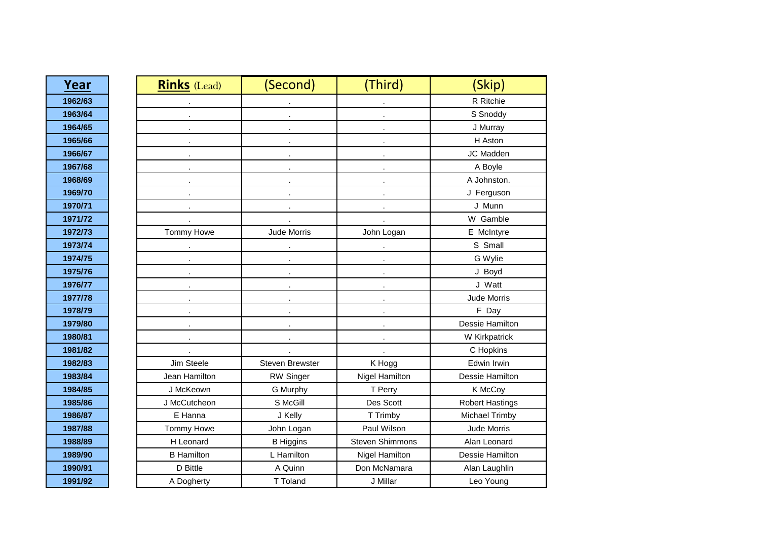| Year    | <b>Rinks</b> (Lead) | (Second)               | (Third)                | (Skip)                 |
|---------|---------------------|------------------------|------------------------|------------------------|
| 1962/63 |                     |                        |                        | R Ritchie              |
| 1963/64 |                     |                        |                        | S Snoddy               |
| 1964/65 |                     |                        |                        | J Murray               |
| 1965/66 |                     |                        |                        | H Aston                |
| 1966/67 |                     |                        |                        | JC Madden              |
| 1967/68 |                     |                        |                        | A Boyle                |
| 1968/69 |                     |                        |                        | A Johnston.            |
| 1969/70 |                     |                        |                        | J Ferguson             |
| 1970/71 |                     |                        |                        | J Munn                 |
| 1971/72 |                     |                        |                        | W Gamble               |
| 1972/73 | Tommy Howe          | Jude Morris            | John Logan             | E McIntyre             |
| 1973/74 | $\mathbf{r}$        | $\sim$                 | $\sim$                 | S Small                |
| 1974/75 |                     |                        |                        | G Wylie                |
| 1975/76 |                     |                        |                        | J Boyd                 |
| 1976/77 |                     |                        |                        | J Watt                 |
| 1977/78 |                     |                        |                        | Jude Morris            |
| 1978/79 |                     |                        |                        | F Day                  |
| 1979/80 |                     |                        |                        | Dessie Hamilton        |
| 1980/81 |                     |                        |                        | W Kirkpatrick          |
| 1981/82 |                     |                        |                        | C Hopkins              |
| 1982/83 | Jim Steele          | <b>Steven Brewster</b> | K Hogg                 | Edwin Irwin            |
| 1983/84 | Jean Hamilton       | <b>RW Singer</b>       | Nigel Hamilton         | Dessie Hamilton        |
| 1984/85 | J McKeown           | G Murphy               | T Perry                | K McCoy                |
| 1985/86 | J McCutcheon        | S McGill               | Des Scott              | <b>Robert Hastings</b> |
| 1986/87 | E Hanna             | J Kelly                | T Trimby               | Michael Trimby         |
| 1987/88 | Tommy Howe          | John Logan             | Paul Wilson            | Jude Morris            |
| 1988/89 | H Leonard           | <b>B</b> Higgins       | <b>Steven Shimmons</b> | Alan Leonard           |
| 1989/90 | <b>B</b> Hamilton   | L Hamilton             | Nigel Hamilton         | Dessie Hamilton        |
| 1990/91 | D Bittle            | A Quinn                | Don McNamara           | Alan Laughlin          |
| 1991/92 | A Dogherty          | T Toland               | J Millar               | Leo Young              |